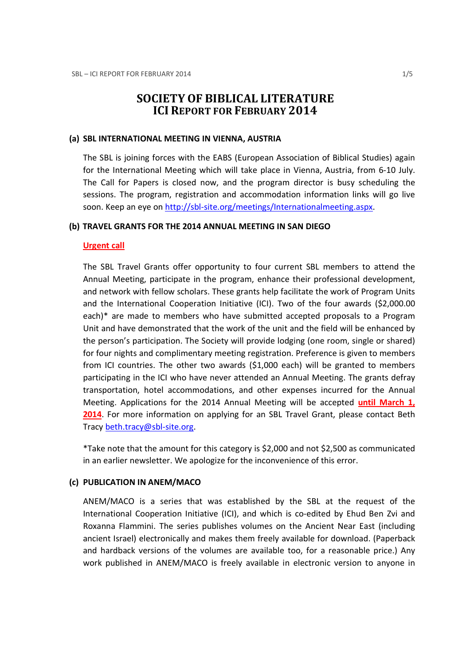# SOCIETY OF BIBLICAL LITERATURE ICI REPORT FOR FEBRUARY 2014

#### (a) SBL INTERNATIONAL MEETING IN VIENNA, AUSTRIA

The SBL is joining forces with the EABS (European Association of Biblical Studies) again for the International Meeting which will take place in Vienna, Austria, from 6-10 July. The Call for Papers is closed now, and the program director is busy scheduling the sessions. The program, registration and accommodation information links will go live soon. Keep an eye on http://sbl-site.org/meetings/Internationalmeeting.aspx.

### (b) TRAVEL GRANTS FOR THE 2014 ANNUAL MEETING IN SAN DIEGO

#### Urgent call

The SBL Travel Grants offer opportunity to four current SBL members to attend the Annual Meeting, participate in the program, enhance their professional development, and network with fellow scholars. These grants help facilitate the work of Program Units and the International Cooperation Initiative (ICI). Two of the four awards (\$2,000.00 each)\* are made to members who have submitted accepted proposals to a Program Unit and have demonstrated that the work of the unit and the field will be enhanced by the person's participation. The Society will provide lodging (one room, single or shared) for four nights and complimentary meeting registration. Preference is given to members from ICI countries. The other two awards (\$1,000 each) will be granted to members participating in the ICI who have never attended an Annual Meeting. The grants defray transportation, hotel accommodations, and other expenses incurred for the Annual Meeting. Applications for the 2014 Annual Meeting will be accepted until March 1, 2014. For more information on applying for an SBL Travel Grant, please contact Beth Tracy beth.tracy@sbl-site.org.

\*Take note that the amount for this category is \$2,000 and not \$2,500 as communicated in an earlier newsletter. We apologize for the inconvenience of this error.

#### (c) PUBLICATION IN ANEM/MACO

ANEM/MACO is a series that was established by the SBL at the request of the International Cooperation Initiative (ICI), and which is co-edited by Ehud Ben Zvi and Roxanna Flammini. The series publishes volumes on the Ancient Near East (including ancient Israel) electronically and makes them freely available for download. (Paperback and hardback versions of the volumes are available too, for a reasonable price.) Any work published in ANEM/MACO is freely available in electronic version to anyone in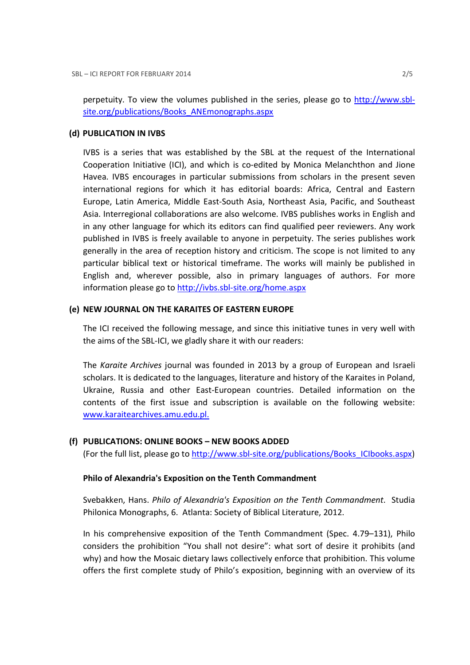perpetuity. To view the volumes published in the series, please go to http://www.sblsite.org/publications/Books\_ANEmonographs.aspx

### (d) PUBLICATION IN IVBS

IVBS is a series that was established by the SBL at the request of the International Cooperation Initiative (ICI), and which is co-edited by Monica Melanchthon and Jione Havea. IVBS encourages in particular submissions from scholars in the present seven international regions for which it has editorial boards: Africa, Central and Eastern Europe, Latin America, Middle East-South Asia, Northeast Asia, Pacific, and Southeast Asia. Interregional collaborations are also welcome. IVBS publishes works in English and in any other language for which its editors can find qualified peer reviewers. Any work published in IVBS is freely available to anyone in perpetuity. The series publishes work generally in the area of reception history and criticism. The scope is not limited to any particular biblical text or historical timeframe. The works will mainly be published in English and, wherever possible, also in primary languages of authors. For more information please go to http://ivbs.sbl-site.org/home.aspx

## (e) NEW JOURNAL ON THE KARAITES OF EASTERN EUROPE

The ICI received the following message, and since this initiative tunes in very well with the aims of the SBL-ICI, we gladly share it with our readers:

The Karaite Archives journal was founded in 2013 by a group of European and Israeli scholars. It is dedicated to the languages, literature and history of the Karaites in Poland, Ukraine, Russia and other East-European countries. Detailed information on the contents of the first issue and subscription is available on the following website: www.karaitearchives.amu.edu.pl.

### (f) PUBLICATIONS: ONLINE BOOKS – NEW BOOKS ADDED

(For the full list, please go to http://www.sbl-site.org/publications/Books\_ICIbooks.aspx)

### Philo of Alexandria's Exposition on the Tenth Commandment

Svebakken, Hans. Philo of Alexandria's Exposition on the Tenth Commandment. Studia Philonica Monographs, 6. Atlanta: Society of Biblical Literature, 2012.

In his comprehensive exposition of the Tenth Commandment (Spec. 4.79–131), Philo considers the prohibition "You shall not desire": what sort of desire it prohibits (and why) and how the Mosaic dietary laws collectively enforce that prohibition. This volume offers the first complete study of Philo's exposition, beginning with an overview of its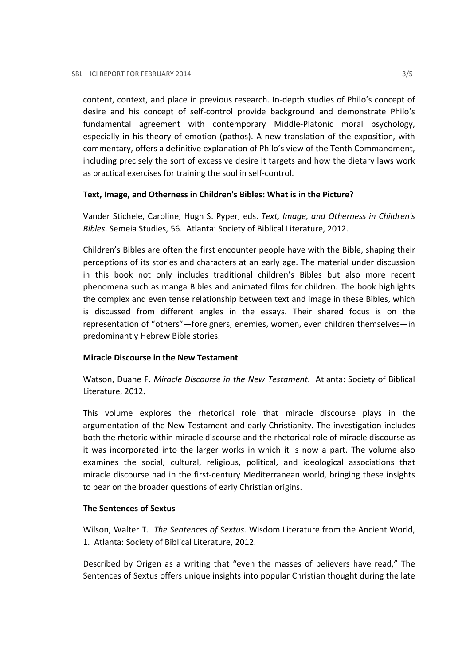content, context, and place in previous research. In-depth studies of Philo's concept of desire and his concept of self-control provide background and demonstrate Philo's fundamental agreement with contemporary Middle-Platonic moral psychology, especially in his theory of emotion (pathos). A new translation of the exposition, with commentary, offers a definitive explanation of Philo's view of the Tenth Commandment, including precisely the sort of excessive desire it targets and how the dietary laws work as practical exercises for training the soul in self-control.

### Text, Image, and Otherness in Children's Bibles: What is in the Picture?

Vander Stichele, Caroline; Hugh S. Pyper, eds. Text, Image, and Otherness in Children's Bibles. Semeia Studies, 56. Atlanta: Society of Biblical Literature, 2012.

Children's Bibles are often the first encounter people have with the Bible, shaping their perceptions of its stories and characters at an early age. The material under discussion in this book not only includes traditional children's Bibles but also more recent phenomena such as manga Bibles and animated films for children. The book highlights the complex and even tense relationship between text and image in these Bibles, which is discussed from different angles in the essays. Their shared focus is on the representation of "others"—foreigners, enemies, women, even children themselves—in predominantly Hebrew Bible stories.

### Miracle Discourse in the New Testament

Watson, Duane F. Miracle Discourse in the New Testament. Atlanta: Society of Biblical Literature, 2012.

This volume explores the rhetorical role that miracle discourse plays in the argumentation of the New Testament and early Christianity. The investigation includes both the rhetoric within miracle discourse and the rhetorical role of miracle discourse as it was incorporated into the larger works in which it is now a part. The volume also examines the social, cultural, religious, political, and ideological associations that miracle discourse had in the first-century Mediterranean world, bringing these insights to bear on the broader questions of early Christian origins.

### The Sentences of Sextus

Wilson, Walter T. The Sentences of Sextus. Wisdom Literature from the Ancient World, 1. Atlanta: Society of Biblical Literature, 2012.

Described by Origen as a writing that "even the masses of believers have read," The Sentences of Sextus offers unique insights into popular Christian thought during the late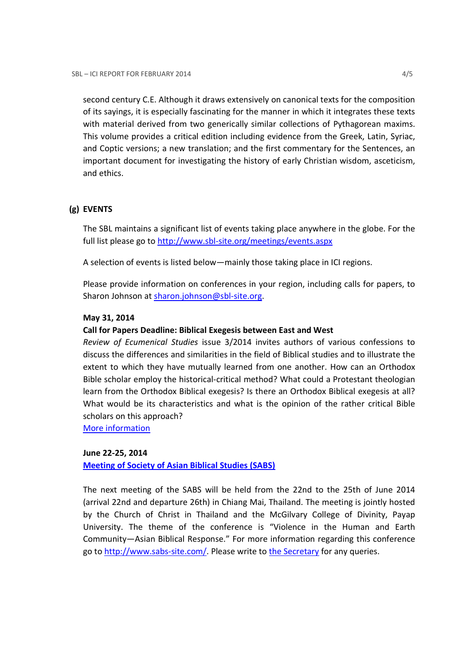second century C.E. Although it draws extensively on canonical texts for the composition of its sayings, it is especially fascinating for the manner in which it integrates these texts with material derived from two generically similar collections of Pythagorean maxims. This volume provides a critical edition including evidence from the Greek, Latin, Syriac, and Coptic versions; a new translation; and the first commentary for the Sentences, an important document for investigating the history of early Christian wisdom, asceticism, and ethics.

### (g) EVENTS

The SBL maintains a significant list of events taking place anywhere in the globe. For the full list please go to http://www.sbl-site.org/meetings/events.aspx

A selection of events is listed below—mainly those taking place in ICI regions.

Please provide information on conferences in your region, including calls for papers, to Sharon Johnson at sharon.johnson@sbl-site.org.

### May 31, 2014

### Call for Papers Deadline: Biblical Exegesis between East and West

Review of Ecumenical Studies issue 3/2014 invites authors of various confessions to discuss the differences and similarities in the field of Biblical studies and to illustrate the extent to which they have mutually learned from one another. How can an Orthodox Bible scholar employ the historical-critical method? What could a Protestant theologian learn from the Orthodox Biblical exegesis? Is there an Orthodox Biblical exegesis at all? What would be its characteristics and what is the opinion of the rather critical Bible scholars on this approach?

More information

### June 22-25, 2014

Meeting of Society of Asian Biblical Studies (SABS)

The next meeting of the SABS will be held from the 22nd to the 25th of June 2014 (arrival 22nd and departure 26th) in Chiang Mai, Thailand. The meeting is jointly hosted by the Church of Christ in Thailand and the McGilvary College of Divinity, Payap University. The theme of the conference is "Violence in the Human and Earth Community—Asian Biblical Response." For more information regarding this conference go to http://www.sabs-site.com/. Please write to the Secretary for any queries.